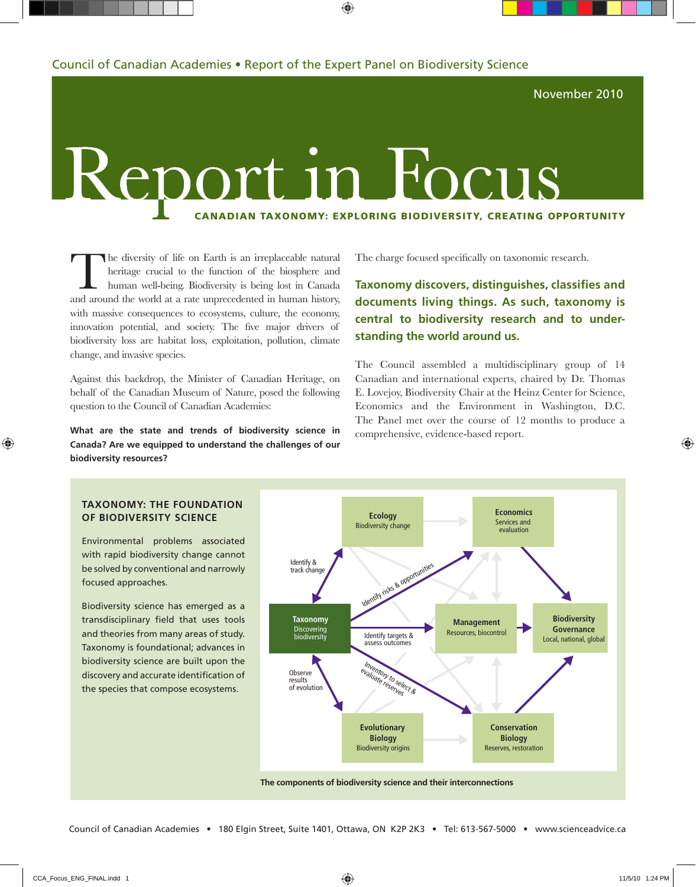November 2010

## Report i a Focus Canadian Taxonomy: Exploring Biodiversity, Creating Opportunity

The diversity of life on Earth is an irreplaceable natural<br>heritage crucial to the function of the biosphere and<br>human well-being. Biodiversity is being lost in Canada<br>and around the world at a rate unprecedented in human heritage crucial to the function of the biosphere and human well-being. Biodiversity is being lost in Canada and around the world at a rate unprecedented in human history, with massive consequences to ecosystems, culture, the economy, innovation potential, and society. The five major drivers of biodiversity loss are habitat loss, exploitation, pollution, climate change, and invasive species.

Against this backdrop, the Minister of Canadian Heritage, on behalf of the Canadian Museum of Nature, posed the following question to the Council of Canadian Academies:

**What are the state and trends of biodiversity science in Canada? Are we equipped to understand the challenges of our biodiversity resources?**

The charge focused specifically on taxonomic research.

### **Taxonomy discovers, distinguishes, classifies and documents living things. As such, taxonomy is central to biodiversity research and to understanding the world around us.**

The Council assembled a multidisciplinary group of 14 Canadian and international experts, chaired by Dr. Thomas E. Lovejoy, Biodiversity Chair at the Heinz Center for Science, Economics and the Environment in Washington, D.C. The Panel met over the course of 12 months to produce a comprehensive, evidence-based report.



#### **Taxonomy: The Foundation of Biodiversity Science**

Environmental problems associated with rapid biodiversity change cannot be solved by conventional and narrowly focused approaches.

Biodiversity science has emerged as a transdisciplinary field that uses tools and theories from many areas of study. Taxonomy is foundational; advances in biodiversity science are built upon the discovery and accurate identification of the species that compose ecosystems.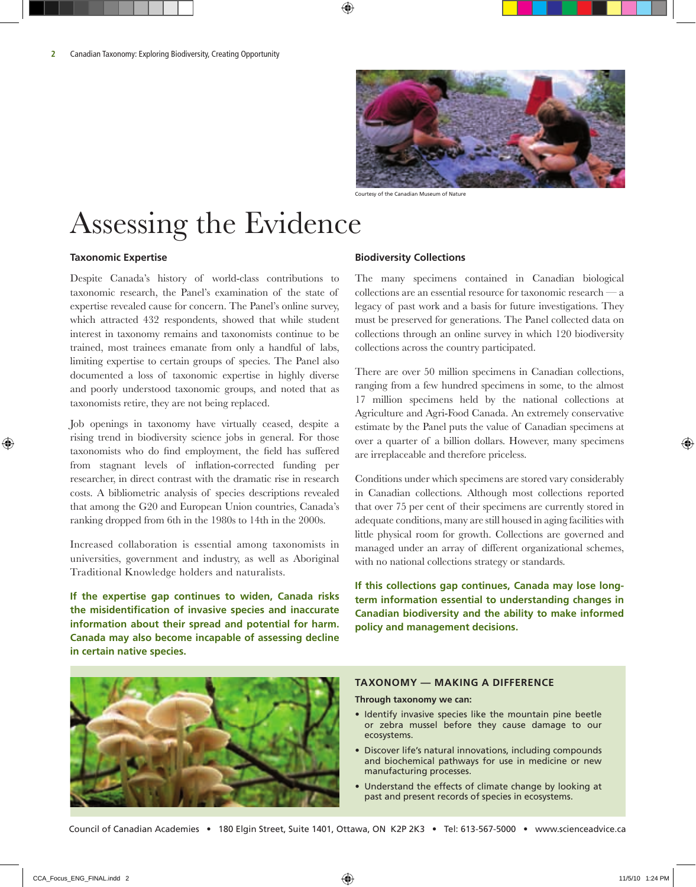

Courtesy of the Canadian Museum of Nature

## Assessing the Evidence

#### **Taxonomic Expertise**

Despite Canada's history of world-class contributions to taxonomic research, the Panel's examination of the state of expertise revealed cause for concern. The Panel's online survey, which attracted 432 respondents, showed that while student interest in taxonomy remains and taxonomists continue to be trained, most trainees emanate from only a handful of labs, limiting expertise to certain groups of species. The Panel also documented a loss of taxonomic expertise in highly diverse and poorly understood taxonomic groups, and noted that as taxonomists retire, they are not being replaced.

Job openings in taxonomy have virtually ceased, despite a rising trend in biodiversity science jobs in general. For those taxonomists who do find employment, the field has suffered from stagnant levels of inflation-corrected funding per researcher, in direct contrast with the dramatic rise in research costs. A bibliometric analysis of species descriptions revealed that among the G20 and European Union countries, Canada's ranking dropped from 6th in the 1980s to 14th in the 2000s.

Increased collaboration is essential among taxonomists in universities, government and industry, as well as Aboriginal Traditional Knowledge holders and naturalists.

**If the expertise gap continues to widen, Canada risks the misidentification of invasive species and inaccurate information about their spread and potential for harm. Canada may also become incapable of assessing decline in certain native species.** 

#### **Biodiversity Collections**

The many specimens contained in Canadian biological  $\alpha$  collections are an essential resource for taxonomic research  $$ legacy of past work and a basis for future investigations. They must be preserved for generations. The Panel collected data on collections through an online survey in which 120 biodiversity collections across the country participated.

There are over 50 million specimens in Canadian collections, ranging from a few hundred specimens in some, to the almost 17 million specimens held by the national collections at Agriculture and Agri-Food Canada. An extremely conservative estimate by the Panel puts the value of Canadian specimens at over a quarter of a billion dollars. However, many specimens are irreplaceable and therefore priceless.

Conditions under which specimens are stored vary considerably in Canadian collections. Although most collections reported that over 75 per cent of their specimens are currently stored in adequate conditions, many are still housed in aging facilities with little physical room for growth. Collections are governed and managed under an array of different organizational schemes, with no national collections strategy or standards.

**If this collections gap continues, Canada may lose longterm information essential to understanding changes in Canadian biodiversity and the ability to make informed policy and management decisions.**



#### **Taxonomy — Making a Difference**

#### **Through taxonomy we can:**

- Identify invasive species like the mountain pine beetle or zebra mussel before they cause damage to our ecosystems.
- Discover life's natural innovations, including compounds and biochemical pathways for use in medicine or new manufacturing processes.
- Understand the effects of climate change by looking at past and present records of species in ecosystems.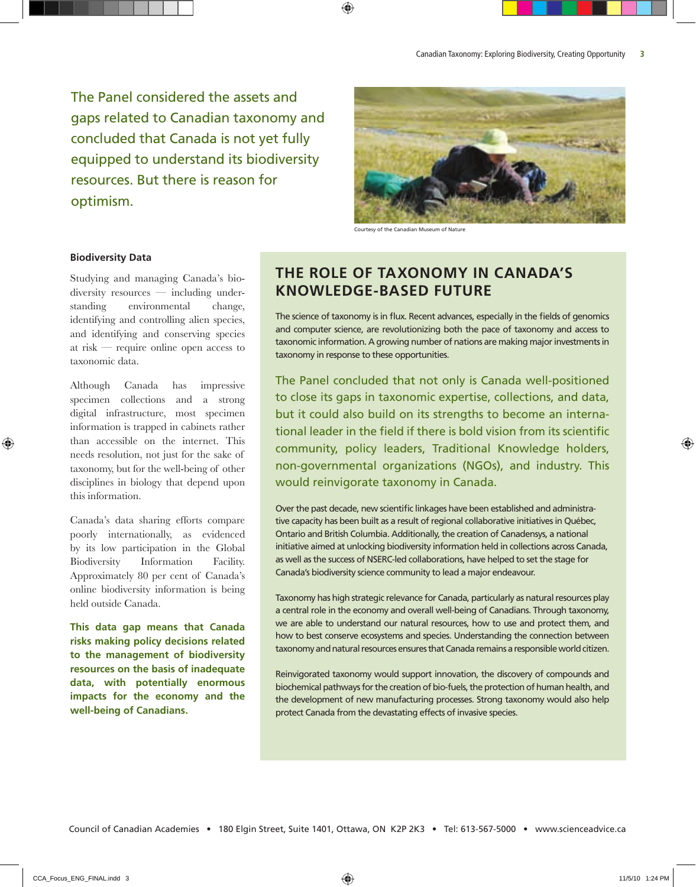The Panel considered the assets and gaps related to Canadian taxonomy and concluded that Canada is not yet fully equipped to understand its biodiversity resources. But there is reason for optimism.



Courtesy of the Canadian Museum of Nature

#### **Biodiversity Data**

Studying and managing Canada's biodiversity resources — including understanding environmental change, identifying and controlling alien species, and identifying and conserving species at risk — require online open access to taxonomic data.

Although Canada has impressive specimen collections and a strong digital infrastructure, most specimen information is trapped in cabinets rather than accessible on the internet. This needs resolution, not just for the sake of taxonomy, but for the well-being of other disciplines in biology that depend upon this information.

Canada's data sharing efforts compare poorly internationally, as evidenced by its low participation in the Global Biodiversity Information Facility. Approximately 80 per cent of Canada's online biodiversity information is being held outside Canada.

**This data gap means that Canada risks making policy decisions related to the management of biodiversity resources on the basis of inadequate data, with potentially enormous impacts for the economy and the well-being of Canadians.** 

### **The Role of Taxonomy in Canada's Knowledge-Based Future**

The science of taxonomy is in flux. Recent advances, especially in the fields of genomics and computer science, are revolutionizing both the pace of taxonomy and access to taxonomic information. A growing number of nations are making major investments in taxonomy in response to these opportunities.

The Panel concluded that not only is Canada well-positioned to close its gaps in taxonomic expertise, collections, and data, but it could also build on its strengths to become an international leader in the field if there is bold vision from its scientific community, policy leaders, Traditional Knowledge holders, non-governmental organizations (NGOs), and industry. This would reinvigorate taxonomy in Canada.

Over the past decade, new scientific linkages have been established and administrative capacity has been built as a result of regional collaborative initiatives in Québec, Ontario and British Columbia. Additionally, the creation of Canadensys, a national initiative aimed at unlocking biodiversity information held in collections across Canada, as well as the success of NSERC-led collaborations, have helped to set the stage for Canada's biodiversity science community to lead a major endeavour.

Taxonomy has high strategic relevance for Canada, particularly as natural resources play a central role in the economy and overall well-being of Canadians. Through taxonomy, we are able to understand our natural resources, how to use and protect them, and how to best conserve ecosystems and species. Understanding the connection between taxonomy and natural resources ensures that Canada remains a responsible world citizen.

Reinvigorated taxonomy would support innovation, the discovery of compounds and biochemical pathways for the creation of bio-fuels, the protection of human health, and the development of new manufacturing processes. Strong taxonomy would also help protect Canada from the devastating effects of invasive species.